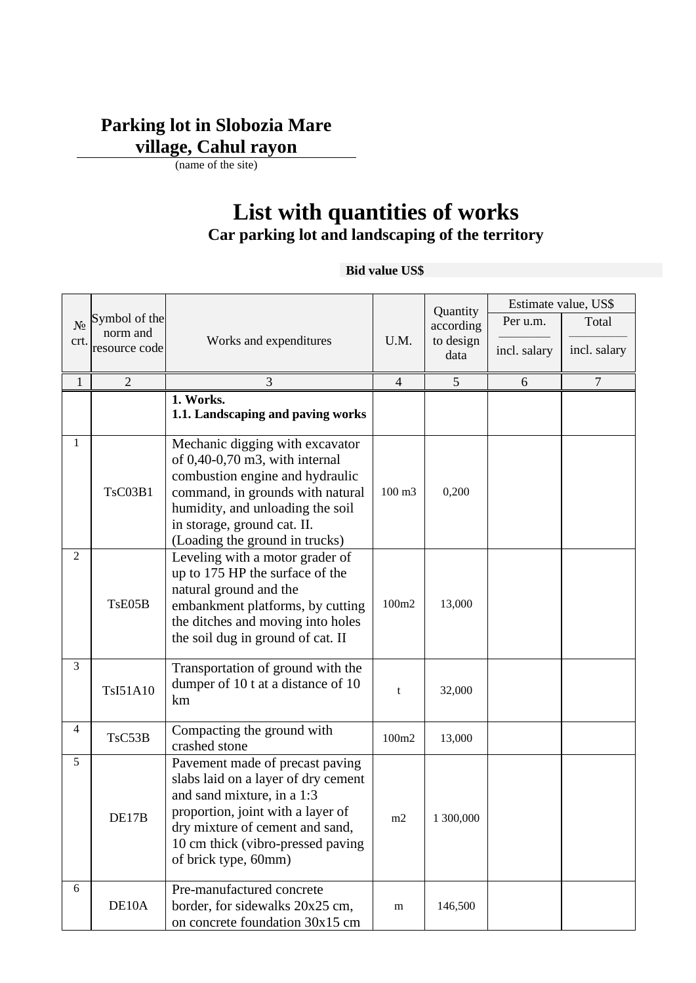## **Parking lot in Slobozia Mare village, Cahul rayon**

(name of the site)

# **List with quantities of works Car parking lot and landscaping of the territory**

#### **Bid value US\$**

|                |                           |                                                                                                                                                                                                                                                  |                |                       |              | Estimate value, US\$ |
|----------------|---------------------------|--------------------------------------------------------------------------------------------------------------------------------------------------------------------------------------------------------------------------------------------------|----------------|-----------------------|--------------|----------------------|
| $N_2$          | Symbol of the             |                                                                                                                                                                                                                                                  |                | Quantity<br>according | Per u.m.     | Total                |
| crt.           | norm and<br>resource code | Works and expenditures                                                                                                                                                                                                                           | U.M.           | to design             | incl. salary | incl. salary         |
|                |                           |                                                                                                                                                                                                                                                  |                | data                  |              |                      |
| $\mathbf{1}$   | $\overline{2}$            | 3                                                                                                                                                                                                                                                | $\overline{4}$ | 5                     | 6            | $\overline{7}$       |
|                |                           | 1. Works.<br>1.1. Landscaping and paving works                                                                                                                                                                                                   |                |                       |              |                      |
| 1              | <b>TsC03B1</b>            | Mechanic digging with excavator<br>of $0,40$ -0,70 m3, with internal<br>combustion engine and hydraulic<br>command, in grounds with natural<br>humidity, and unloading the soil<br>in storage, ground cat. II.<br>(Loading the ground in trucks) | 100 m3         | 0,200                 |              |                      |
| $\overline{2}$ | TsE05B                    | Leveling with a motor grader of<br>up to 175 HP the surface of the<br>natural ground and the<br>embankment platforms, by cutting<br>the ditches and moving into holes<br>the soil dug in ground of cat. II                                       | 100m2          | 13,000                |              |                      |
| 3              | TsI51A10                  | Transportation of ground with the<br>dumper of 10 t at a distance of 10<br>km                                                                                                                                                                    | t              | 32,000                |              |                      |
| 4              | TsC53B                    | Compacting the ground with<br>crashed stone                                                                                                                                                                                                      | 100m2          | 13,000                |              |                      |
| 5              | DEL/B                     | Pavement made of precast paving<br>slabs laid on a layer of dry cement<br>and sand mixture, in a 1:3<br>proportion, joint with a layer of<br>dry mixture of cement and sand,<br>10 cm thick (vibro-pressed paving<br>of brick type, 60mm)        | m2             | 1 300,000             |              |                      |
| 6              | DE10A                     | Pre-manufactured concrete<br>border, for sidewalks 20x25 cm,<br>on concrete foundation 30x15 cm                                                                                                                                                  | m              | 146,500               |              |                      |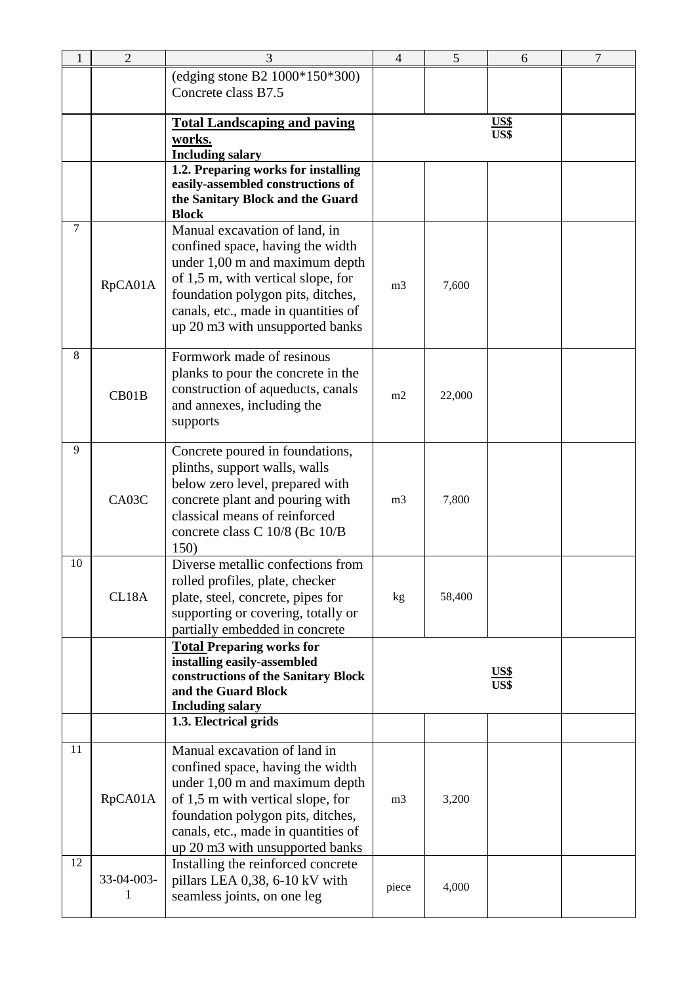| 1              | $\overline{2}$  | 3                                                                                                                                                                                                                                                        | $\overline{4}$ | 5      | 6                   | $\overline{7}$ |
|----------------|-----------------|----------------------------------------------------------------------------------------------------------------------------------------------------------------------------------------------------------------------------------------------------------|----------------|--------|---------------------|----------------|
|                |                 | (edging stone B2 1000*150*300)<br>Concrete class B7.5                                                                                                                                                                                                    |                |        |                     |                |
|                |                 | <b>Total Landscaping and paving</b><br>works.<br><b>Including salary</b>                                                                                                                                                                                 |                |        | <u>US\$</u><br>US\$ |                |
|                |                 | 1.2. Preparing works for installing<br>easily-assembled constructions of<br>the Sanitary Block and the Guard<br><b>Block</b>                                                                                                                             |                |        |                     |                |
| $\overline{7}$ | RpCA01A         | Manual excavation of land, in<br>confined space, having the width<br>under 1,00 m and maximum depth<br>of 1,5 m, with vertical slope, for<br>foundation polygon pits, ditches,<br>canals, etc., made in quantities of<br>up 20 m3 with unsupported banks | m <sub>3</sub> | 7,600  |                     |                |
| 8              | CB01B           | Formwork made of resinous<br>planks to pour the concrete in the<br>construction of aqueducts, canals<br>and annexes, including the<br>supports                                                                                                           | m <sub>2</sub> | 22,000 |                     |                |
| 9              | CA03C           | Concrete poured in foundations,<br>plinths, support walls, walls<br>below zero level, prepared with<br>concrete plant and pouring with<br>classical means of reinforced<br>concrete class C 10/8 (Bc 10/B<br>150)                                        | m <sub>3</sub> | 7,800  |                     |                |
| 10             | CL18A           | Diverse metallic confections from<br>rolled profiles, plate, checker<br>plate, steel, concrete, pipes for<br>supporting or covering, totally or<br>partially embedded in concrete                                                                        | kg             | 58,400 |                     |                |
|                |                 | <b>Total Preparing works for</b><br>installing easily-assembled<br>constructions of the Sanitary Block<br>and the Guard Block<br><b>Including salary</b>                                                                                                 |                |        | <b>US\$</b><br>US\$ |                |
|                |                 | 1.3. Electrical grids                                                                                                                                                                                                                                    |                |        |                     |                |
| 11<br>12       | RpCA01A         | Manual excavation of land in<br>confined space, having the width<br>under 1,00 m and maximum depth<br>of 1,5 m with vertical slope, for<br>foundation polygon pits, ditches,<br>canals, etc., made in quantities of<br>up 20 m3 with unsupported banks   | m <sub>3</sub> | 3,200  |                     |                |
|                | 33-04-003-<br>1 | Installing the reinforced concrete<br>pillars LEA 0,38, 6-10 kV with<br>seamless joints, on one leg                                                                                                                                                      | piece          | 4,000  |                     |                |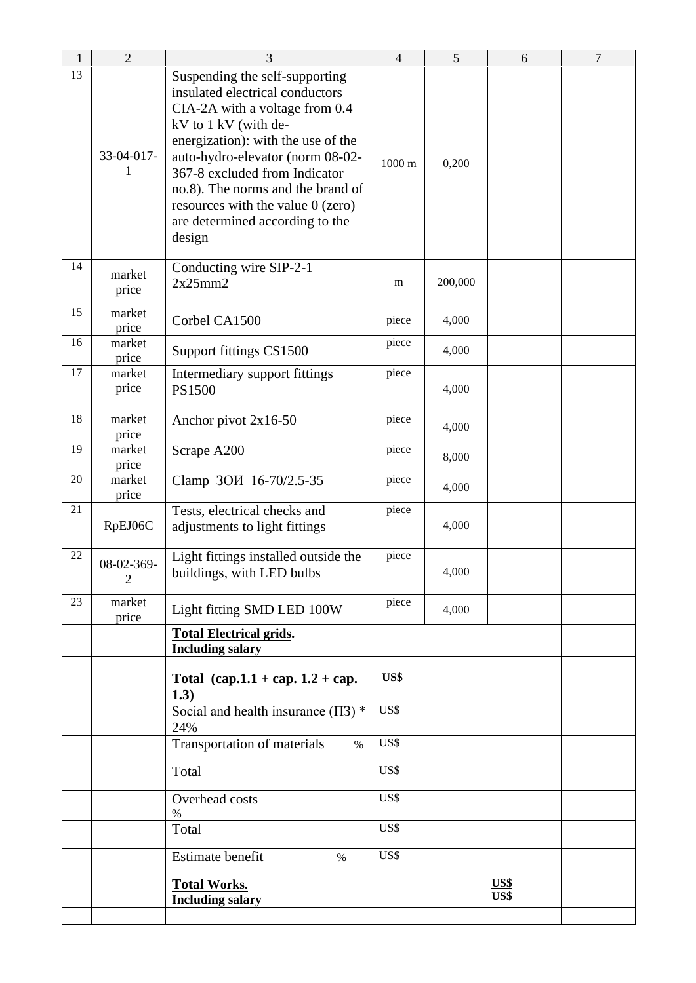| 1  | $\sqrt{2}$                   | 3                                                                                                                                                                                                                                                                                                                                                               | $\overline{\mathcal{A}}$ | 5       | 6            | $\tau$ |
|----|------------------------------|-----------------------------------------------------------------------------------------------------------------------------------------------------------------------------------------------------------------------------------------------------------------------------------------------------------------------------------------------------------------|--------------------------|---------|--------------|--------|
| 13 | 33-04-017-<br>1              | Suspending the self-supporting<br>insulated electrical conductors<br>CIA-2A with a voltage from 0.4<br>kV to 1 kV (with de-<br>energization): with the use of the<br>auto-hydro-elevator (norm 08-02-<br>367-8 excluded from Indicator<br>no.8). The norms and the brand of<br>resources with the value $0$ (zero)<br>are determined according to the<br>design | $1000 \text{ m}$         | 0,200   |              |        |
| 14 | market<br>price              | Conducting wire SIP-2-1<br>2x25mm2                                                                                                                                                                                                                                                                                                                              | m                        | 200,000 |              |        |
| 15 | market<br>price              | Corbel CA1500                                                                                                                                                                                                                                                                                                                                                   | piece                    | 4,000   |              |        |
| 16 | market<br>price              | Support fittings CS1500                                                                                                                                                                                                                                                                                                                                         | piece                    | 4,000   |              |        |
| 17 | market<br>price              | Intermediary support fittings<br><b>PS1500</b>                                                                                                                                                                                                                                                                                                                  | piece                    | 4,000   |              |        |
| 18 | market<br>price              | Anchor pivot 2x16-50                                                                                                                                                                                                                                                                                                                                            | piece                    | 4,000   |              |        |
| 19 | market<br>price              | Scrape A200                                                                                                                                                                                                                                                                                                                                                     | piece                    | 8,000   |              |        |
| 20 | market<br>price              | Clamp 3OH 16-70/2.5-35                                                                                                                                                                                                                                                                                                                                          | piece                    | 4,000   |              |        |
| 21 | RpEJ06C                      | Tests, electrical checks and<br>adjustments to light fittings                                                                                                                                                                                                                                                                                                   | piece                    | 4,000   |              |        |
| 22 | 08-02-369-<br>$\overline{2}$ | Light fittings installed outside the<br>buildings, with LED bulbs                                                                                                                                                                                                                                                                                               | piece                    | 4,000   |              |        |
| 23 | market<br>price              | Light fitting SMD LED 100W                                                                                                                                                                                                                                                                                                                                      | piece                    | 4,000   |              |        |
|    |                              | <b>Total Electrical grids.</b><br><b>Including salary</b>                                                                                                                                                                                                                                                                                                       |                          |         |              |        |
|    |                              | Total $(cap.1.1 + cap.1.2 + cap.$<br>1.3)                                                                                                                                                                                                                                                                                                                       | US\$                     |         |              |        |
|    |                              | Social and health insurance $(\Pi 3)$ *<br>24%                                                                                                                                                                                                                                                                                                                  | US\$                     |         |              |        |
|    |                              | Transportation of materials<br>$\%$                                                                                                                                                                                                                                                                                                                             | US\$                     |         |              |        |
|    |                              | Total                                                                                                                                                                                                                                                                                                                                                           | US\$                     |         |              |        |
|    |                              | Overhead costs<br>%                                                                                                                                                                                                                                                                                                                                             | US\$                     |         |              |        |
|    |                              | Total                                                                                                                                                                                                                                                                                                                                                           | US\$                     |         |              |        |
|    |                              | Estimate benefit<br>$\%$                                                                                                                                                                                                                                                                                                                                        | US\$                     |         |              |        |
|    |                              | <b>Total Works.</b><br><b>Including salary</b>                                                                                                                                                                                                                                                                                                                  |                          |         | US\$<br>US\$ |        |
|    |                              |                                                                                                                                                                                                                                                                                                                                                                 |                          |         |              |        |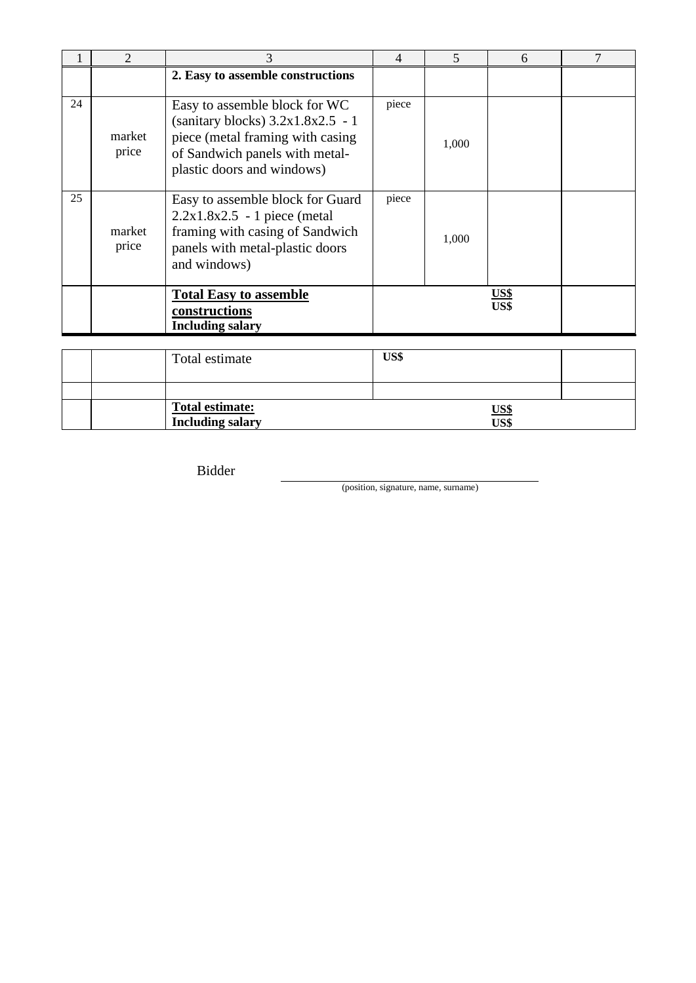|    | $\overline{2}$  | 3                                                                                                                                                                        | $\overline{4}$ | 5     | 6                   | 7 |
|----|-----------------|--------------------------------------------------------------------------------------------------------------------------------------------------------------------------|----------------|-------|---------------------|---|
|    |                 | 2. Easy to assemble constructions                                                                                                                                        |                |       |                     |   |
| 24 | market<br>price | Easy to assemble block for WC<br>(sanitary blocks) $3.2x1.8x2.5 - 1$<br>piece (metal framing with casing<br>of Sandwich panels with metal-<br>plastic doors and windows) | piece          | 1,000 |                     |   |
| 25 | market<br>price | Easy to assemble block for Guard<br>$2.2x1.8x2.5 - 1$ piece (metal)<br>framing with casing of Sandwich<br>panels with metal-plastic doors<br>and windows)                | piece          | 1,000 |                     |   |
|    |                 | <b>Total Easy to assemble</b><br>constructions<br><b>Including salary</b>                                                                                                |                |       | <u>US\$</u><br>US\$ |   |
|    |                 | Total estimate                                                                                                                                                           | US\$           |       |                     |   |

|  | Total estimate:         | <u>US\$</u> |  |
|--|-------------------------|-------------|--|
|  | <b>Including salary</b> | US\$        |  |

Bidder

(position, signature, name, surname)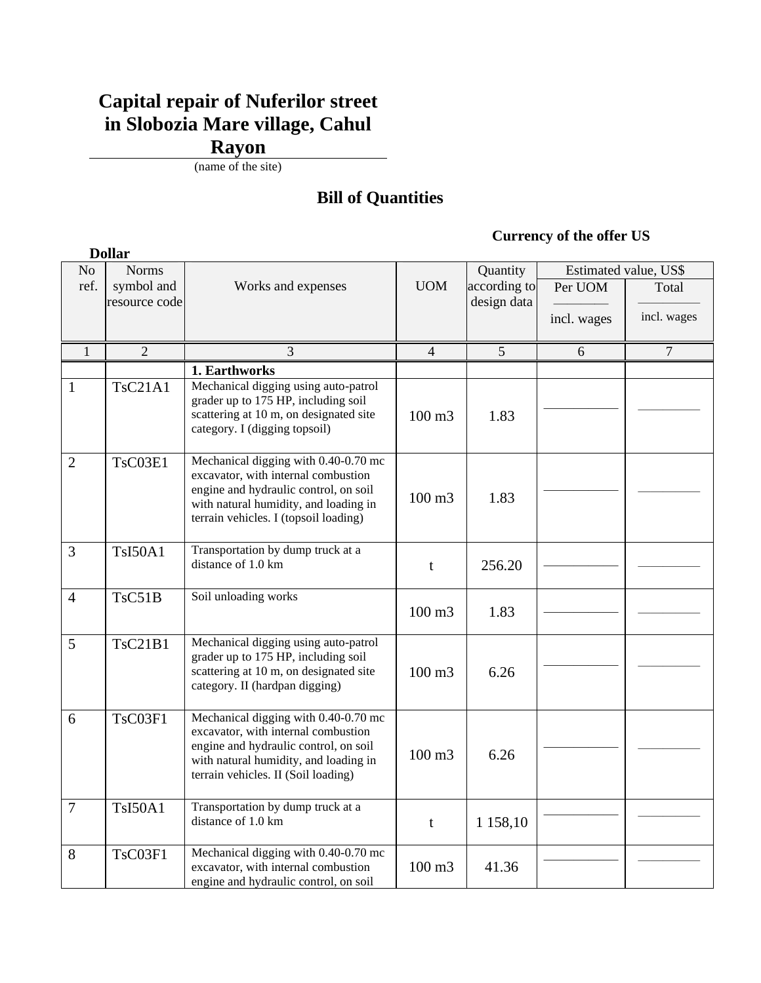### **Capital repair of Nuferilor street in Slobozia Mare village, Cahul Rayon**

(name of the site)

#### **Bill of Quantities**

#### **Currency of the offer US**

|                | <b>Dollar</b>  |                                                                                                                                                                                                        |                   |              |             |                       |  |
|----------------|----------------|--------------------------------------------------------------------------------------------------------------------------------------------------------------------------------------------------------|-------------------|--------------|-------------|-----------------------|--|
| No             | <b>Norms</b>   |                                                                                                                                                                                                        |                   | Quantity     |             | Estimated value, US\$ |  |
| ref.           | symbol and     | Works and expenses                                                                                                                                                                                     | <b>UOM</b>        | according to | Per UOM     | Total                 |  |
|                | resource code  |                                                                                                                                                                                                        |                   | design data  |             |                       |  |
|                |                |                                                                                                                                                                                                        |                   |              | incl. wages | incl. wages           |  |
|                |                |                                                                                                                                                                                                        |                   |              |             |                       |  |
| $\mathbf{1}$   | $\overline{2}$ | 3                                                                                                                                                                                                      | $\overline{4}$    | 5            | 6           | $\overline{7}$        |  |
|                |                | 1. Earthworks                                                                                                                                                                                          |                   |              |             |                       |  |
| $\mathbf{1}$   | <b>TsC21A1</b> | Mechanical digging using auto-patrol<br>grader up to 175 HP, including soil<br>scattering at 10 m, on designated site<br>category. I (digging topsoil)                                                 | 100 m3            | 1.83         |             |                       |  |
| $\overline{2}$ | TsC03E1        | Mechanical digging with 0.40-0.70 mc<br>excavator, with internal combustion<br>engine and hydraulic control, on soil<br>with natural humidity, and loading in<br>terrain vehicles. I (topsoil loading) | 100 m3            | 1.83         |             |                       |  |
| 3              | <b>TsI50A1</b> | Transportation by dump truck at a<br>distance of 1.0 km                                                                                                                                                | t                 | 256.20       |             |                       |  |
| $\overline{4}$ | TsC51B         | Soil unloading works                                                                                                                                                                                   | $100 \text{ m}$ 3 | 1.83         |             |                       |  |
| 5              | TsC21B1        | Mechanical digging using auto-patrol<br>grader up to 175 HP, including soil<br>scattering at 10 m, on designated site<br>category. II (hardpan digging)                                                | $100 \text{ m}$ 3 | 6.26         |             |                       |  |
| 6              | TsC03F1        | Mechanical digging with 0.40-0.70 mc<br>excavator, with internal combustion<br>engine and hydraulic control, on soil<br>with natural humidity, and loading in<br>terrain vehicles. II (Soil loading)   | 100 m3            | 6.26         |             |                       |  |
| $\overline{7}$ | <b>TsI50A1</b> | Transportation by dump truck at a<br>distance of 1.0 km                                                                                                                                                | t                 | 1 158,10     |             |                       |  |
| 8              | TsC03F1        | Mechanical digging with 0.40-0.70 mc<br>excavator, with internal combustion<br>engine and hydraulic control, on soil                                                                                   | 100 m3            | 41.36        |             |                       |  |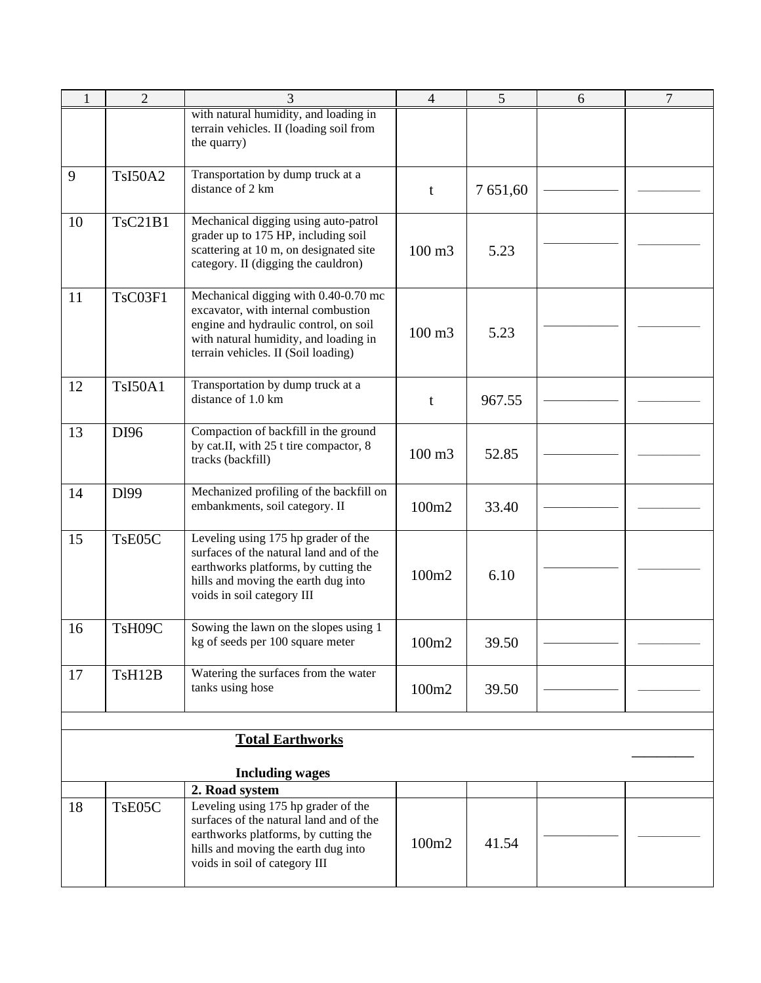| $\mathbf{1}$ | $\overline{2}$      | 3                                                                                                                                                                                                    | $\overline{4}$    | 5        | 6 | $\overline{7}$ |
|--------------|---------------------|------------------------------------------------------------------------------------------------------------------------------------------------------------------------------------------------------|-------------------|----------|---|----------------|
|              |                     | with natural humidity, and loading in<br>terrain vehicles. II (loading soil from<br>the quarry)                                                                                                      |                   |          |   |                |
| 9            | <b>TsI50A2</b>      | Transportation by dump truck at a<br>distance of 2 km                                                                                                                                                | t                 | 7 651,60 |   |                |
| 10           | TsC21B1             | Mechanical digging using auto-patrol<br>grader up to 175 HP, including soil<br>scattering at 10 m, on designated site<br>category. II (digging the cauldron)                                         | $100 \text{ m}$ 3 | 5.23     |   |                |
| 11           | TsC03F1             | Mechanical digging with 0.40-0.70 mc<br>excavator, with internal combustion<br>engine and hydraulic control, on soil<br>with natural humidity, and loading in<br>terrain vehicles. II (Soil loading) | $100 \text{ m}$ 3 | 5.23     |   |                |
| 12           | <b>TsI50A1</b>      | Transportation by dump truck at a<br>distance of 1.0 km                                                                                                                                              | t                 | 967.55   |   |                |
| 13           | DI96                | Compaction of backfill in the ground<br>by cat.II, with 25 t tire compactor, 8<br>tracks (backfill)                                                                                                  | 100 m3            | 52.85    |   |                |
| 14           | D <sub>199</sub>    | Mechanized profiling of the backfill on<br>embankments, soil category. II                                                                                                                            | 100m2             | 33.40    |   |                |
| 15           | T <sub>s</sub> E05C | Leveling using 175 hp grader of the<br>surfaces of the natural land and of the<br>earthworks platforms, by cutting the<br>hills and moving the earth dug into<br>voids in soil category III          | 100m2             | 6.10     |   |                |
| 16           | TsH09C              | Sowing the lawn on the slopes using 1<br>kg of seeds per 100 square meter                                                                                                                            | 100m2             | 39.50    |   |                |
| 17           | TsH12B              | Watering the surfaces from the water<br>tanks using hose                                                                                                                                             | 100m2             | 39.50    |   |                |
|              |                     |                                                                                                                                                                                                      |                   |          |   |                |
|              |                     | <b>Total Earthworks</b><br><b>Including wages</b>                                                                                                                                                    |                   |          |   |                |
|              |                     | 2. Road system                                                                                                                                                                                       |                   |          |   |                |
| 18           | TsE05C              | Leveling using 175 hp grader of the<br>surfaces of the natural land and of the<br>earthworks platforms, by cutting the<br>hills and moving the earth dug into<br>voids in soil of category III       | 100m2             | 41.54    |   |                |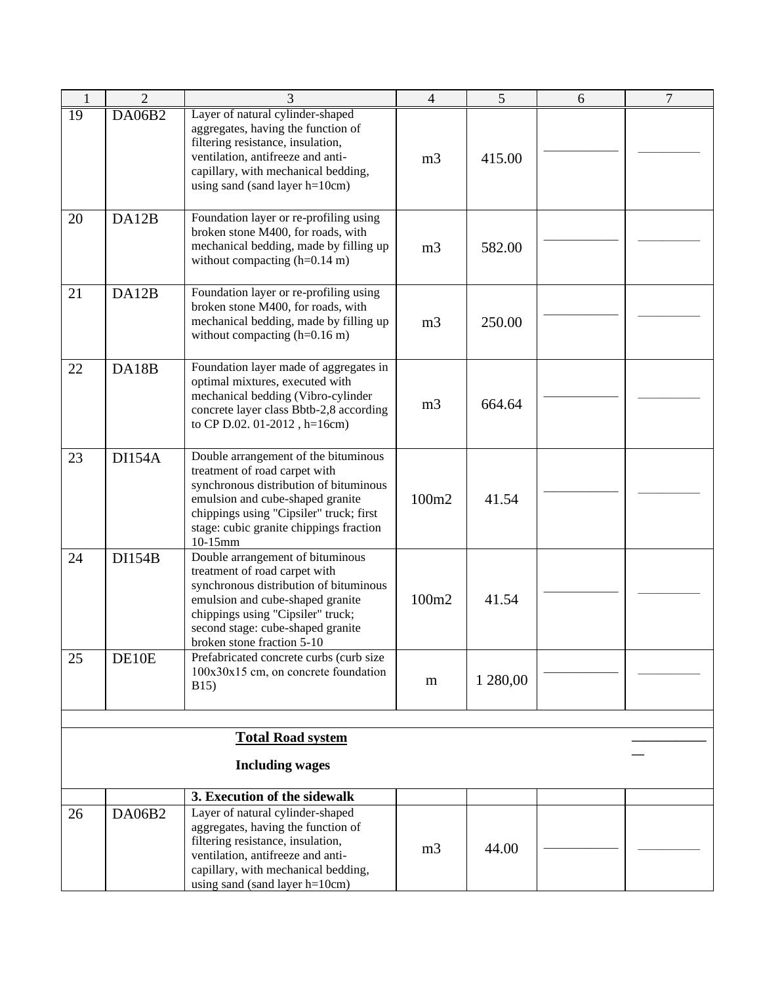| $\mathbf{1}$    | $\overline{2}$ | 3                                                                                                                                                                                                                                                       | $\overline{4}$ | 5        | 6 | $\overline{7}$ |
|-----------------|----------------|---------------------------------------------------------------------------------------------------------------------------------------------------------------------------------------------------------------------------------------------------------|----------------|----------|---|----------------|
| $\overline{19}$ | DA06B2         | Layer of natural cylinder-shaped<br>aggregates, having the function of<br>filtering resistance, insulation,<br>ventilation, antifreeze and anti-<br>capillary, with mechanical bedding,<br>using sand (sand layer h=10cm)                               | m <sub>3</sub> | 415.00   |   |                |
| 20              | DA12B          | Foundation layer or re-profiling using<br>broken stone M400, for roads, with<br>mechanical bedding, made by filling up<br>without compacting $(h=0.14 \text{ m})$                                                                                       | m <sub>3</sub> | 582.00   |   |                |
| 21              | DA12B          | Foundation layer or re-profiling using<br>broken stone M400, for roads, with<br>mechanical bedding, made by filling up<br>without compacting $(h=0.16 \text{ m})$                                                                                       | m <sub>3</sub> | 250.00   |   |                |
| 22              | DA18B          | Foundation layer made of aggregates in<br>optimal mixtures, executed with<br>mechanical bedding (Vibro-cylinder<br>concrete layer class Bbtb-2,8 according<br>to CP D.02. 01-2012, h=16cm)                                                              | m <sub>3</sub> | 664.64   |   |                |
| 23              | <b>DI154A</b>  | Double arrangement of the bituminous<br>treatment of road carpet with<br>synchronous distribution of bituminous<br>emulsion and cube-shaped granite<br>chippings using "Cipsiler" truck; first<br>stage: cubic granite chippings fraction<br>10-15mm    | 100m2          | 41.54    |   |                |
| 24              | <b>DI154B</b>  | Double arrangement of bituminous<br>treatment of road carpet with<br>synchronous distribution of bituminous<br>emulsion and cube-shaped granite<br>chippings using "Cipsiler" truck;<br>second stage: cube-shaped granite<br>broken stone fraction 5-10 | 100m2          | 41.54    |   |                |
| 25              | DE10E          | Prefabricated concrete curbs (curb size<br>$100x30x15$ cm, on concrete foundation<br><b>B15</b> )                                                                                                                                                       | m              | 1 280,00 |   |                |
|                 |                |                                                                                                                                                                                                                                                         |                |          |   |                |
|                 |                | <b>Total Road system</b>                                                                                                                                                                                                                                |                |          |   |                |
|                 |                | <b>Including wages</b>                                                                                                                                                                                                                                  |                |          |   |                |
|                 |                | 3. Execution of the sidewalk                                                                                                                                                                                                                            |                |          |   |                |
| 26              | DA06B2         | Layer of natural cylinder-shaped<br>aggregates, having the function of<br>filtering resistance, insulation,<br>ventilation, antifreeze and anti-<br>capillary, with mechanical bedding,<br>using sand (sand layer h=10cm)                               | m <sub>3</sub> | 44.00    |   |                |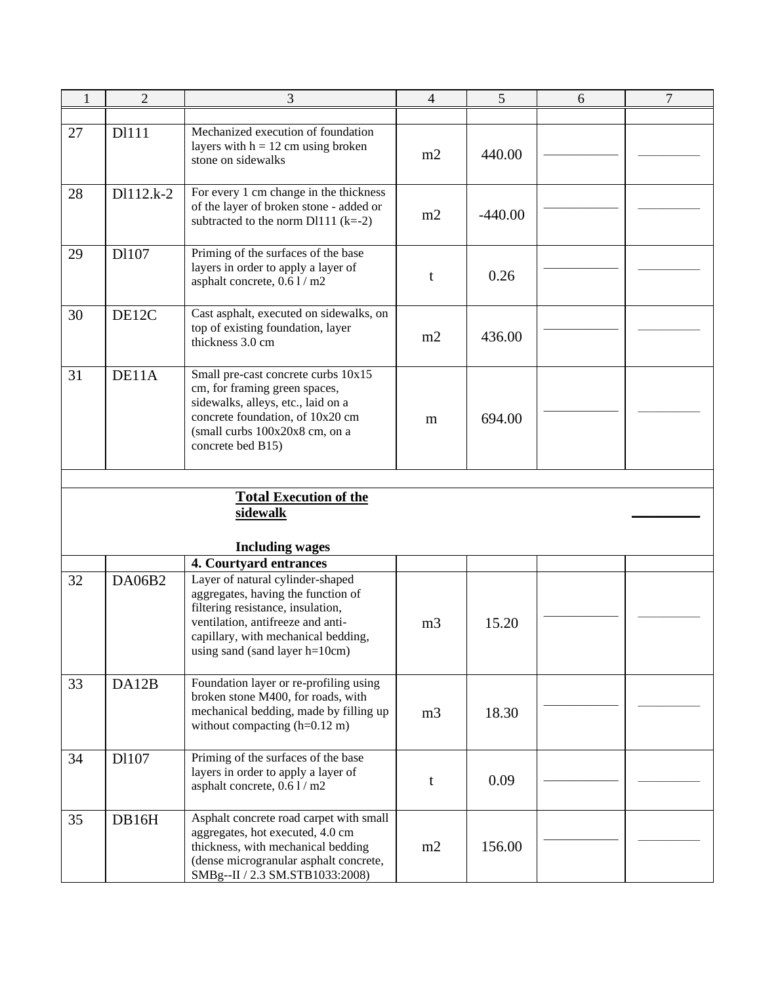| $\mathbf{1}$ | $\overline{2}$ | 3                                                                                                                                                                                                                         | $\overline{4}$ | 5         | 6 | $\overline{7}$ |
|--------------|----------------|---------------------------------------------------------------------------------------------------------------------------------------------------------------------------------------------------------------------------|----------------|-----------|---|----------------|
|              |                |                                                                                                                                                                                                                           |                |           |   |                |
| 27           | D1111          | Mechanized execution of foundation<br>layers with $h = 12$ cm using broken<br>stone on sidewalks                                                                                                                          | m2             | 440.00    |   |                |
| 28           | D1112.k-2      | For every 1 cm change in the thickness<br>of the layer of broken stone - added or<br>subtracted to the norm $D1111 (k=-2)$                                                                                                | m2             | $-440.00$ |   |                |
| 29           | D1107          | Priming of the surfaces of the base<br>layers in order to apply a layer of<br>asphalt concrete, 0.6 l / m2                                                                                                                | t              | 0.26      |   |                |
| 30           | DE12C          | Cast asphalt, executed on sidewalks, on<br>top of existing foundation, layer<br>thickness 3.0 cm                                                                                                                          | m2             | 436.00    |   |                |
| 31           | DE11A          | Small pre-cast concrete curbs 10x15<br>cm, for framing green spaces,<br>sidewalks, alleys, etc., laid on a<br>concrete foundation, of 10x20 cm<br>(small curbs 100x20x8 cm, on a<br>concrete bed B15)                     | m              | 694.00    |   |                |
|              |                |                                                                                                                                                                                                                           |                |           |   |                |
|              |                | <b>Total Execution of the</b><br>sidewalk                                                                                                                                                                                 |                |           |   |                |
|              |                | <b>Including wages</b>                                                                                                                                                                                                    |                |           |   |                |
|              |                | 4. Courtyard entrances                                                                                                                                                                                                    |                |           |   |                |
| 32           | <b>DA06B2</b>  | Layer of natural cylinder-shaped<br>aggregates, having the function of<br>filtering resistance, insulation,<br>ventilation, antifreeze and anti-<br>capillary, with mechanical bedding,<br>using sand (sand layer h=10cm) | m <sub>3</sub> | 15.20     |   |                |
| 33           | DA12B          | Foundation layer or re-profiling using<br>broken stone M400, for roads, with<br>mechanical bedding, made by filling up<br>without compacting $(h=0.12 \text{ m})$                                                         | m <sub>3</sub> | 18.30     |   |                |
| 34           | D1107          | Priming of the surfaces of the base<br>layers in order to apply a layer of<br>asphalt concrete, 0.6 1 / m2                                                                                                                | t              | 0.09      |   |                |
| 35           | DB16H          | Asphalt concrete road carpet with small<br>aggregates, hot executed, 4.0 cm<br>thickness, with mechanical bedding<br>(dense microgranular asphalt concrete,<br>SMBg--II / 2.3 SM.STB1033:2008)                            | m2             | 156.00    |   |                |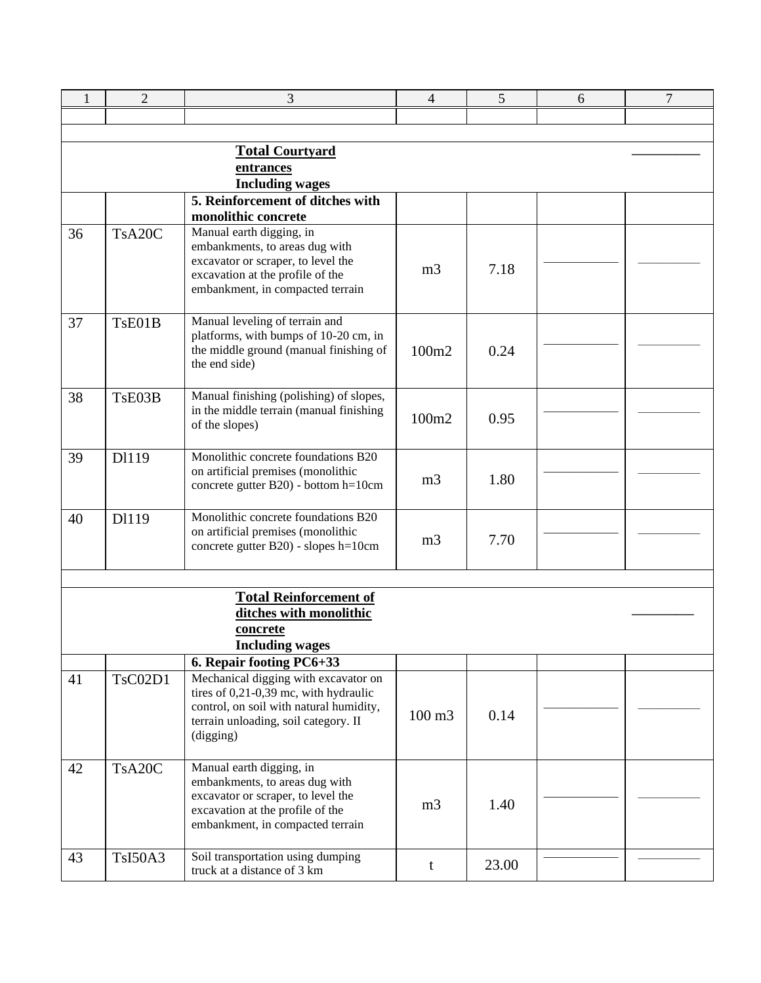| 1                      | $\overline{2}$ | 3                                                                               | 4              | 5     | 6 | $\overline{7}$ |  |  |  |
|------------------------|----------------|---------------------------------------------------------------------------------|----------------|-------|---|----------------|--|--|--|
|                        |                |                                                                                 |                |       |   |                |  |  |  |
|                        |                |                                                                                 |                |       |   |                |  |  |  |
| <b>Total Courtyard</b> |                |                                                                                 |                |       |   |                |  |  |  |
|                        | entrances      |                                                                                 |                |       |   |                |  |  |  |
|                        |                | <b>Including wages</b><br>5. Reinforcement of ditches with                      |                |       |   |                |  |  |  |
|                        |                | monolithic concrete                                                             |                |       |   |                |  |  |  |
| 36                     | TsA20C         | Manual earth digging, in                                                        |                |       |   |                |  |  |  |
|                        |                | embankments, to areas dug with                                                  |                |       |   |                |  |  |  |
|                        |                | excavator or scraper, to level the<br>excavation at the profile of the          | m <sub>3</sub> | 7.18  |   |                |  |  |  |
|                        |                | embankment, in compacted terrain                                                |                |       |   |                |  |  |  |
|                        |                |                                                                                 |                |       |   |                |  |  |  |
| 37                     | TsE01B         | Manual leveling of terrain and                                                  |                |       |   |                |  |  |  |
|                        |                | platforms, with bumps of 10-20 cm, in<br>the middle ground (manual finishing of |                |       |   |                |  |  |  |
|                        |                | the end side)                                                                   | 100m2          | 0.24  |   |                |  |  |  |
|                        |                |                                                                                 |                |       |   |                |  |  |  |
| 38                     | TsE03B         | Manual finishing (polishing) of slopes,                                         |                |       |   |                |  |  |  |
|                        |                | in the middle terrain (manual finishing                                         | 100m2          | 0.95  |   |                |  |  |  |
|                        |                | of the slopes)                                                                  |                |       |   |                |  |  |  |
| 39                     | D1119          | Monolithic concrete foundations B20                                             |                |       |   |                |  |  |  |
|                        |                | on artificial premises (monolithic                                              | m <sub>3</sub> | 1.80  |   |                |  |  |  |
|                        |                | concrete gutter B20) - bottom h=10cm                                            |                |       |   |                |  |  |  |
| 40                     | D1119          | Monolithic concrete foundations B20                                             |                |       |   |                |  |  |  |
|                        |                | on artificial premises (monolithic                                              |                |       |   |                |  |  |  |
|                        |                | concrete gutter B20) - slopes h=10cm                                            | m <sub>3</sub> | 7.70  |   |                |  |  |  |
|                        |                |                                                                                 |                |       |   |                |  |  |  |
|                        |                |                                                                                 |                |       |   |                |  |  |  |
|                        |                | <b>Total Reinforcement of</b>                                                   |                |       |   |                |  |  |  |
|                        |                | ditches with monolithic<br>concrete                                             |                |       |   |                |  |  |  |
|                        |                | <b>Including wages</b>                                                          |                |       |   |                |  |  |  |
|                        |                | 6. Repair footing PC6+33                                                        |                |       |   |                |  |  |  |
| 41                     | <b>TsC02D1</b> | Mechanical digging with excavator on                                            |                |       |   |                |  |  |  |
|                        |                | tires of 0,21-0,39 mc, with hydraulic                                           |                |       |   |                |  |  |  |
|                        |                | control, on soil with natural humidity,<br>terrain unloading, soil category. II | 100 m3         | 0.14  |   |                |  |  |  |
|                        |                | (digging)                                                                       |                |       |   |                |  |  |  |
|                        |                |                                                                                 |                |       |   |                |  |  |  |
| 42                     | TsA20C         | Manual earth digging, in                                                        |                |       |   |                |  |  |  |
|                        |                | embankments, to areas dug with<br>excavator or scraper, to level the            |                |       |   |                |  |  |  |
|                        |                | excavation at the profile of the                                                | m <sub>3</sub> | 1.40  |   |                |  |  |  |
|                        |                | embankment, in compacted terrain                                                |                |       |   |                |  |  |  |
|                        |                |                                                                                 |                |       |   |                |  |  |  |
| 43                     | <b>TsI50A3</b> | Soil transportation using dumping<br>truck at a distance of 3 km                | t              | 23.00 |   |                |  |  |  |
|                        |                |                                                                                 |                |       |   |                |  |  |  |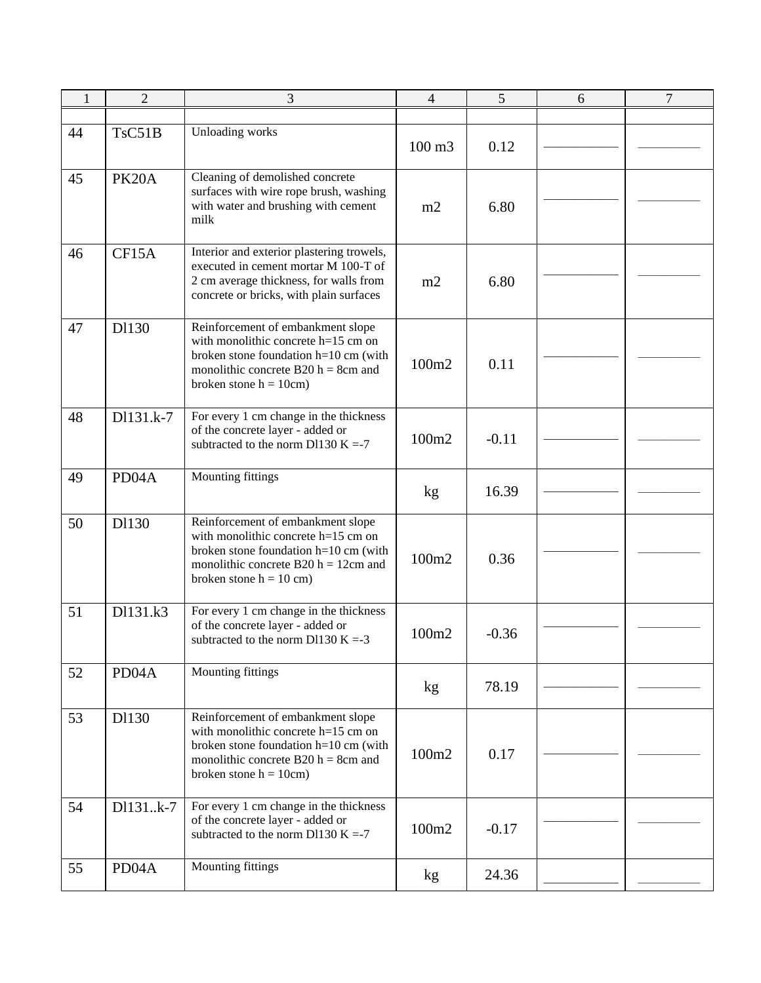| $\mathbf{1}$ | $\overline{2}$     | 3                                                                                                                                                                                          | 4                 | 5       | 6 | $\overline{7}$ |
|--------------|--------------------|--------------------------------------------------------------------------------------------------------------------------------------------------------------------------------------------|-------------------|---------|---|----------------|
|              |                    |                                                                                                                                                                                            |                   |         |   |                |
| 44           | TsC51B             | Unloading works                                                                                                                                                                            | $100 \text{ m}$ 3 | 0.12    |   |                |
| 45           | PK <sub>20</sub> A | Cleaning of demolished concrete<br>surfaces with wire rope brush, washing<br>with water and brushing with cement<br>milk                                                                   | m2                | 6.80    |   |                |
| 46           | CF15A              | Interior and exterior plastering trowels,<br>executed in cement mortar M 100-T of<br>2 cm average thickness, for walls from<br>concrete or bricks, with plain surfaces                     | m2                | 6.80    |   |                |
| 47           | D1130              | Reinforcement of embankment slope<br>with monolithic concrete $h=15$ cm on<br>broken stone foundation h=10 cm (with<br>monolithic concrete B20 $h = 8$ cm and<br>broken stone $h = 10$ cm) | 100m2             | 0.11    |   |                |
| 48           | D1131.k-7          | For every 1 cm change in the thickness<br>of the concrete layer - added or<br>subtracted to the norm D1130 K =-7                                                                           | 100m2             | $-0.11$ |   |                |
| 49           | PD <sub>04</sub> A | Mounting fittings                                                                                                                                                                          | kg                | 16.39   |   |                |
| 50           | D1130              | Reinforcement of embankment slope<br>with monolithic concrete h=15 cm on<br>broken stone foundation h=10 cm (with<br>monolithic concrete B20 $h = 12$ cm and<br>broken stone $h = 10$ cm)  | 100m2             | 0.36    |   |                |
| 51           | D1131.k3           | For every 1 cm change in the thickness<br>of the concrete layer - added or<br>subtracted to the norm D1130 K = -3                                                                          | 100m2             | $-0.36$ |   |                |
| 52           | PD <sub>04</sub> A | Mounting fittings                                                                                                                                                                          | kg                | 78.19   |   |                |
| 53           | D1130              | Reinforcement of embankment slope<br>with monolithic concrete h=15 cm on<br>broken stone foundation h=10 cm (with<br>monolithic concrete B20 $h = 8$ cm and<br>broken stone $h = 10$ cm)   | 100m2             | 0.17    |   |                |
| 54           | D1131k-7           | For every 1 cm change in the thickness<br>of the concrete layer - added or<br>subtracted to the norm D1130 K =-7                                                                           | 100m2             | $-0.17$ |   |                |
| 55           | PD04A              | Mounting fittings                                                                                                                                                                          | kg                | 24.36   |   |                |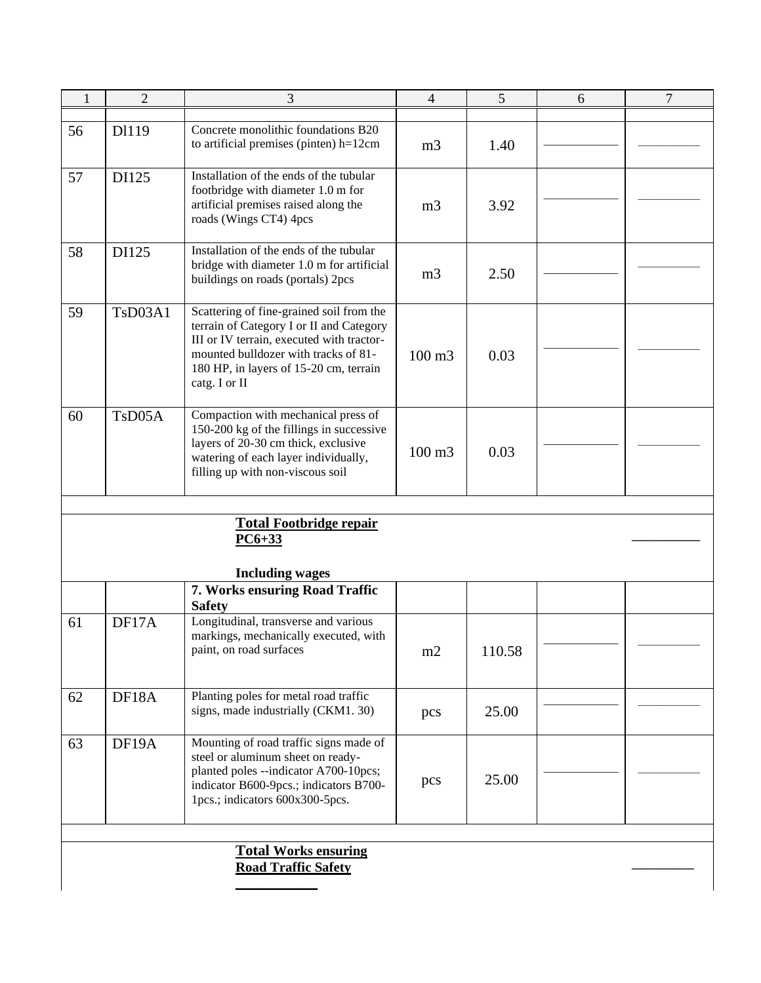| 1  | $\overline{2}$                                            | 3                                                                                                                                                                                                                                    | 4              | 5      | 6 | $\overline{7}$ |  |  |
|----|-----------------------------------------------------------|--------------------------------------------------------------------------------------------------------------------------------------------------------------------------------------------------------------------------------------|----------------|--------|---|----------------|--|--|
|    |                                                           |                                                                                                                                                                                                                                      |                |        |   |                |  |  |
| 56 | D1119                                                     | Concrete monolithic foundations B20<br>to artificial premises (pinten) h=12cm                                                                                                                                                        | m <sub>3</sub> | 1.40   |   |                |  |  |
| 57 | DI125                                                     | Installation of the ends of the tubular<br>footbridge with diameter 1.0 m for<br>artificial premises raised along the<br>roads (Wings CT4) 4pcs                                                                                      | m <sub>3</sub> | 3.92   |   |                |  |  |
| 58 | DI125                                                     | Installation of the ends of the tubular<br>bridge with diameter 1.0 m for artificial<br>buildings on roads (portals) 2pcs                                                                                                            | m <sub>3</sub> | 2.50   |   |                |  |  |
| 59 | TsD03A1                                                   | Scattering of fine-grained soil from the<br>terrain of Category I or II and Category<br>III or IV terrain, executed with tractor-<br>mounted bulldozer with tracks of 81-<br>180 HP, in layers of 15-20 cm, terrain<br>catg. I or II | 100 m3         | 0.03   |   |                |  |  |
| 60 | T <sub>s</sub> D <sub>05</sub> A                          | Compaction with mechanical press of<br>150-200 kg of the fillings in successive<br>layers of 20-30 cm thick, exclusive<br>watering of each layer individually,<br>filling up with non-viscous soil                                   | 100 m3         | 0.03   |   |                |  |  |
|    |                                                           | <u>Total Footbridge repair</u><br>$PC6+33$                                                                                                                                                                                           |                |        |   |                |  |  |
|    |                                                           | <b>Including wages</b>                                                                                                                                                                                                               |                |        |   |                |  |  |
|    |                                                           | 7. Works ensuring Road Traffic<br><b>Safety</b>                                                                                                                                                                                      |                |        |   |                |  |  |
| 61 | DF17A                                                     | Longitudinal, transverse and various<br>markings, mechanically executed, with<br>paint, on road surfaces                                                                                                                             | m2             | 110.58 |   |                |  |  |
| 62 | DF18A                                                     | Planting poles for metal road traffic<br>signs, made industrially (CKM1. 30)                                                                                                                                                         | pcs            | 25.00  |   |                |  |  |
| 63 | DF19A                                                     | Mounting of road traffic signs made of<br>steel or aluminum sheet on ready-<br>planted poles --indicator A700-10pcs;<br>indicator B600-9pcs.; indicators B700-<br>1pcs.; indicators 600x300-5pcs.                                    | pcs            | 25.00  |   |                |  |  |
|    | <b>Total Works ensuring</b><br><b>Road Traffic Safety</b> |                                                                                                                                                                                                                                      |                |        |   |                |  |  |